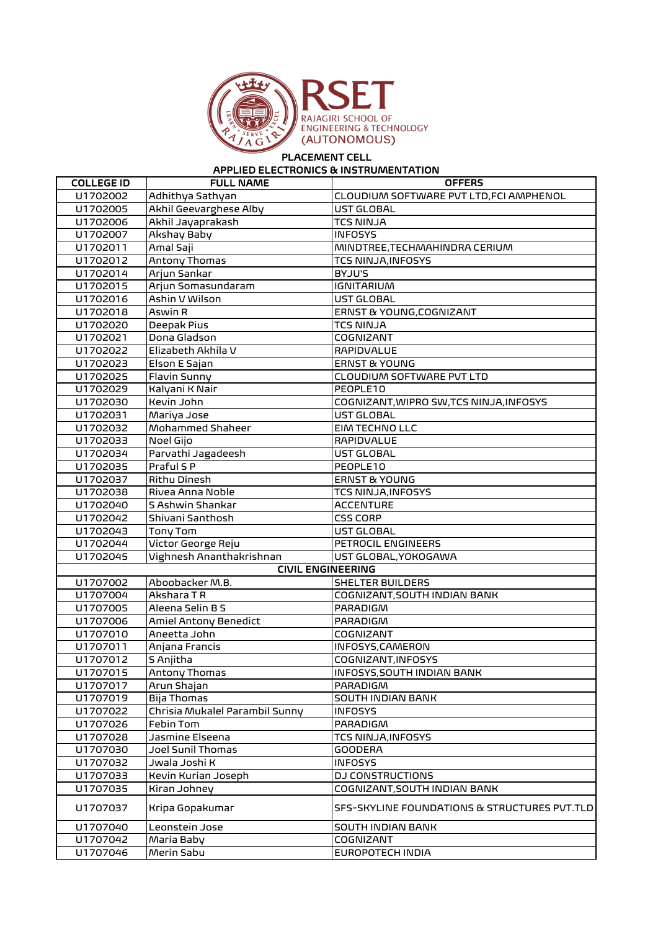

## PLACEMENT CELL

## APPLIED ELECTRONICS & INSTRUMENTATION

| <b>COLLEGE ID</b> | <b>FULL NAME</b>               | <b>OFFERS</b>                                |
|-------------------|--------------------------------|----------------------------------------------|
| U1702002          | Adhithya Sathyan               | CLOUDIUM SOFTWARE PVT LTD, FCI AMPHENOL      |
| U1702005          | Akhil Geevarghese Alby         | UST GLOBAL                                   |
| U1702006          | Akhil Jayaprakash              | <b>TCS NINJA</b>                             |
| U1702007          | Akshay Baby                    | <b>INFOSYS</b>                               |
| U1702011          | Amal Saji                      | MINDTREE, TECHMAHINDRA CERIUM                |
| U1702012          | Antony Thomas                  | <b>TCS NINJA, INFOSYS</b>                    |
| U1702014          | Arjun Sankar                   | BYJU'S                                       |
| U1702015          | Arjun Somasundaram             | <b>IGNITARIUM</b>                            |
| U1702016          | Ashin V Wilson                 | <b>UST GLOBAL</b>                            |
| U1702018          | Aswin R                        | ERNST & YOUNG, COGNIZANT                     |
| U1702020          | Deepak Pius                    | <b>TCS NINJA</b>                             |
| U1702021          | Dona Gladson                   | COGNIZANT                                    |
| U1702022          | Elizabeth Akhila V             | RAPIDVALUE                                   |
| U1702023          | Elson E Sajan                  | <b>ERNST &amp; YOUNG</b>                     |
| U1702025          | Flavin Sunny                   | CLOUDIUM SOFTWARE PVT LTD                    |
| U1702029          | Kalyani K Nair                 | PEOPLE10                                     |
| U1702030          | Kevin John                     | COGNIZANT, WIPRO SW, TCS NINJA, INFOSYS      |
| U1702031          | Mariya Jose                    | UST GLOBAL                                   |
| U1702032          | Mohammed Shaheer               | EIM TECHNO LLC                               |
| U1702033          | Noel Gijo                      | RAPIDVALUE                                   |
| U1702034          | Parvathi Jagadeesh             | UST GLOBAL                                   |
| U1702035          | Praful S P                     | PEOPLE10                                     |
| U1702037          | Rithu Dinesh                   | <b>ERNST &amp; YOUNG</b>                     |
| U1702038          | Rivea Anna Noble               | TCS NINJA, INFOSYS                           |
| U1702040          | S Ashwin Shankar               | <b>ACCENTURE</b>                             |
| U1702042          | Shivani Santhosh               | <b>CSS CORP</b>                              |
| U1702043          | Tony Tom                       | <b>UST GLOBAL</b>                            |
| U1702044          | Victor George Reju             | PETROCIL ENGINEERS                           |
| U1702045          | Vighnesh Ananthakrishnan       | UST GLOBAL, YOKOGAWA                         |
|                   | <b>CIVIL ENGINEERING</b>       |                                              |
| U1707002          | Aboobacker M.B.                | <b>SHELTER BUILDERS</b>                      |
| U1707004          | Akshara T R                    | COGNIZANT, SOUTH INDIAN BANK                 |
| U1707005          | Aleena Selin B S               | PARADIGM                                     |
| U1707006          | Amiel Antony Benedict          | PARADIGM                                     |
| U1707010          | Aneetta John                   | COGNIZANT                                    |
| U1707011          | Anjana Francis                 | <b>INFOSYS, CAMERON</b>                      |
| U1707012          | S Anjitha                      | COGNIZANT, INFOSYS                           |
| U1707015          | Antony Thomas                  | <b>INFOSYS, SOUTH INDIAN BANK</b>            |
| U1707017          | Arun Shajan                    | PARADIGM                                     |
| U1707019          | Bija Thomas                    | <b>SOUTH INDIAN BANK</b>                     |
| U1707022          | Chrisia Mukalel Parambil Sunny | <b>INFOSYS</b>                               |
| U1707026          | Febin Tom                      | PARADIGM                                     |
| U1707028          | Jasmine Elseena                | TCS NINJA, INFOSYS                           |
| U1707030          | Joel Sunil Thomas              | <b>GOODERA</b>                               |
| U1707032          | Jwala Joshi K                  | <b>INFOSYS</b>                               |
| U1707033          | Kevin Kurian Joseph            | <b>DJ CONSTRUCTIONS</b>                      |
| U1707035          | Kiran Johney                   | COGNIZANT, SOUTH INDIAN BANK                 |
| U1707037          | Kripa Gopakumar                | SFS-SKYLINE FOUNDATIONS & STRUCTURES PVT.TLD |
| U1707040          | Leonstein Jose                 | <b>SOUTH INDIAN BANK</b>                     |
| U1707042          | Maria Baby                     | COGNIZANT                                    |
| U1707046          | Merin Sabu                     | EUROPOTECH INDIA                             |
|                   |                                |                                              |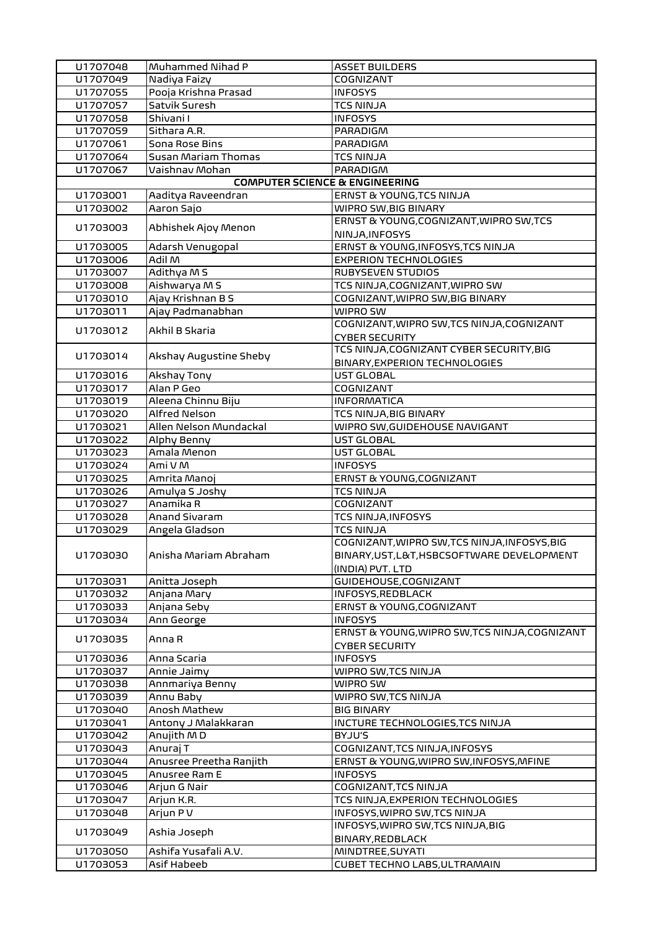| U1707048 | Muhammed Nihad P                          | <b>ASSET BUILDERS</b>                                                                                          |
|----------|-------------------------------------------|----------------------------------------------------------------------------------------------------------------|
| U1707049 | Nadiya Faizy                              | COGNIZANT                                                                                                      |
| U1707055 | Pooja Krishna Prasad                      | <b>INFOSYS</b>                                                                                                 |
| U1707057 | Satvik Suresh                             | <b>TCS NINJA</b>                                                                                               |
| U1707058 | Shivani I                                 | <b>INFOSYS</b>                                                                                                 |
| U1707059 | Sithara A.R.                              | PARADIGM                                                                                                       |
| U1707061 | Sona Rose Bins                            | PARADIGM                                                                                                       |
| U1707064 | Susan Mariam Thomas                       | <b>TCS NINJA</b>                                                                                               |
| U1707067 | Vaishnav Mohan                            | <b>PARADIGM</b>                                                                                                |
|          | <b>COMPUTER SCIENCE &amp; ENGINEERING</b> |                                                                                                                |
| U1703001 | Aaditya Raveendran                        | ERNST & YOUNG, TCS NINJA                                                                                       |
| U1703002 | Aaron Sajo                                | WIPRO SW, BIG BINARY                                                                                           |
| U1703003 | Abhishek Ajoy Menon                       | ERNST & YOUNG, COGNIZANT, WIPRO SW, TCS<br>NINJA, INFOSYS                                                      |
| U1703005 | Adarsh Venugopal                          | ERNST & YOUNG, INFOSYS, TCS NINJA                                                                              |
| U1703006 | Adil M                                    | <b>EXPERION TECHNOLOGIES</b>                                                                                   |
| U1703007 | Adithya M S                               | <b>RUBYSEVEN STUDIOS</b>                                                                                       |
| U1703008 | Aishwarya M S                             | TCS NINJA, COGNIZANT, WIPRO SW                                                                                 |
| U1703010 | Ajay Krishnan B S                         | COGNIZANT, WIPRO SW, BIG BINARY                                                                                |
| U1703011 | Ajay Padmanabhan                          | WIPRO SW                                                                                                       |
|          |                                           | COGNIZANT, WIPRO SW, TCS NINJA, COGNIZANT                                                                      |
| U1703012 | Akhil B Skaria                            | <b>CYBER SECURITY</b>                                                                                          |
|          |                                           | TCS NINJA, COGNIZANT CYBER SECURITY, BIG                                                                       |
| U1703014 | Akshay Augustine Sheby                    | <b>BINARY, EXPERION TECHNOLOGIES</b>                                                                           |
| U1703016 | Akshay Tony                               | UST GLOBAL                                                                                                     |
| U1703017 | Alan P Geo                                | COGNIZANT                                                                                                      |
| U1703019 | Aleena Chinnu Biju                        | <b>INFORMATICA</b>                                                                                             |
| U1703020 | Alfred Nelson                             | TCS NINJA, BIG BINARY                                                                                          |
| U1703021 | Allen Nelson Mundackal                    | WIPRO SW, GUIDEHOUSE NAVIGANT                                                                                  |
| U1703022 | Alphy Benny                               | UST GLOBAL                                                                                                     |
| U1703023 | Amala Menon                               | UST GLOBAL                                                                                                     |
| U1703024 | Ami V M                                   | <b>INFOSYS</b>                                                                                                 |
| U1703025 | Amrita Manoj                              | ERNST & YOUNG, COGNIZANT                                                                                       |
| U1703026 | Amulya S Joshy                            | <b>TCS NINJA</b>                                                                                               |
| U1703027 | Anamika R                                 | COGNIZANT                                                                                                      |
| U1703028 | Anand Sivaram                             | <b>TCS NINJA, INFOSYS</b>                                                                                      |
| U1703029 | Angela Gladson                            | <b>TCS NINJA</b>                                                                                               |
| U1703030 | Anisha Mariam Abraham                     | COGNIZANT, WIPRO SW, TCS NINJA, INFOSYS, BIG<br>BINARY, UST, L&T, HSBCSOFTWARE DEVELOPMENT<br>(INDIA) PVT. LTD |
| U1703031 | Anitta Joseph                             | GUIDEHOUSE, COGNIZANT                                                                                          |
| U1703032 | Anjana Mary                               | INFOSYS, REDBLACK                                                                                              |
| U1703033 | Anjana Seby                               | ERNST & YOUNG, COGNIZANT                                                                                       |
| U1703034 | Ann George                                | <b>INFOSYS</b>                                                                                                 |
| U1703035 | Anna R                                    | ERNST & YOUNG, WIPRO SW, TCS NINJA, COGNIZANT<br><b>CYBER SECURITY</b>                                         |
| U1703036 | Anna Scaria                               | <b>INFOSYS</b>                                                                                                 |
| U1703037 | Annie Jaimy                               | WIPRO SW,TCS NINJA                                                                                             |
| U1703038 | Annmariya Benny                           | WIPRO SW                                                                                                       |
| U1703039 | Annu Baby                                 | WIPRO SW, TCS NINJA                                                                                            |
| U1703040 | Anosh Mathew                              | <b>BIG BINARY</b>                                                                                              |
| U1703041 | Antony J Malakkaran                       | INCTURE TECHNOLOGIES, TCS NINJA                                                                                |
| U1703042 | Anujith MD                                | BYJU'S                                                                                                         |
| U1703043 | Anuraj T                                  | COGNIZANT, TCS NINJA, INFOSYS                                                                                  |
| U1703044 | Anusree Preetha Ranjith                   | ERNST & YOUNG, WIPRO SW, INFOSYS, MFINE                                                                        |
| U1703045 | Anusree Ram E                             | <b>INFOSYS</b>                                                                                                 |
| U1703046 | Arjun G Nair                              | COGNIZANT, TCS NINJA                                                                                           |
| U1703047 | Arjun K.R.                                | TCS NINJA, EXPERION TECHNOLOGIES                                                                               |
| U1703048 | Arjun P V                                 | INFOSYS, WIPRO SW, TCS NINJA                                                                                   |
| U1703049 | Ashia Joseph                              | INFOSYS, WIPRO SW, TCS NINJA, BIG<br>BINARY, REDBLACK                                                          |
| U1703050 | Ashifa Yusafali A.V.                      | MINDTREE, SUYATI                                                                                               |
| U1703053 | Asif Habeeb                               | CUBET TECHNO LABS, ULTRAMAIN                                                                                   |
|          |                                           |                                                                                                                |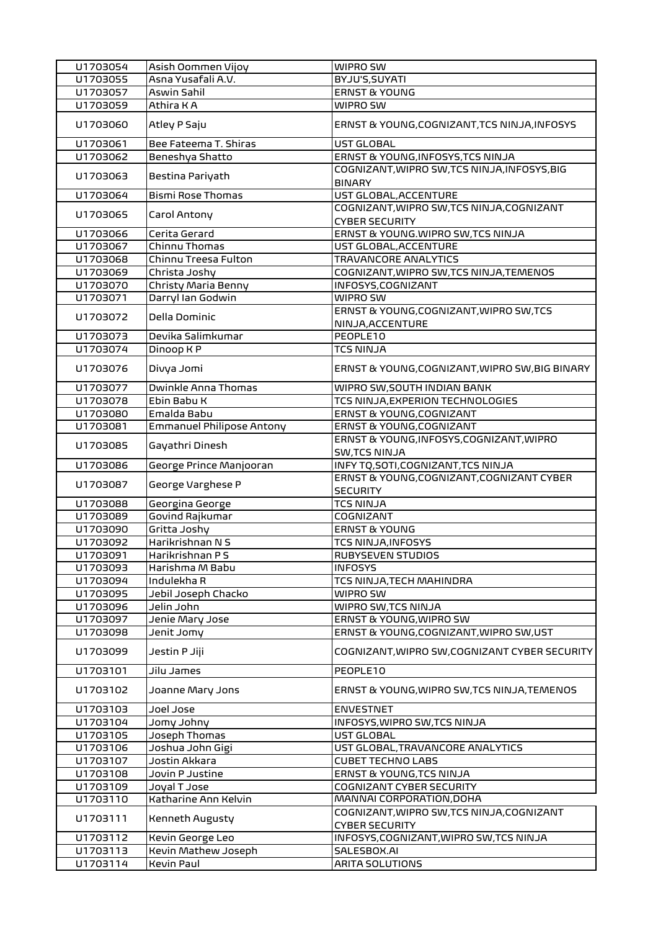| U1703054 | Asish Oommen Vijoy        | WIPRO SW                                                           |
|----------|---------------------------|--------------------------------------------------------------------|
| U1703055 | Asna Yusafali A.V.        | BYJU'S, SUYATI                                                     |
| U1703057 | Aswin Sahil               | <b>ERNST &amp; YOUNG</b>                                           |
| U1703059 | Athira K A                | WIPRO SW                                                           |
| U1703060 | Atley P Saju              | ERNST & YOUNG, COGNIZANT, TCS NINJA, INFOSYS                       |
| U1703061 | Bee Fateema T. Shiras     | UST GLOBAL                                                         |
| U1703062 | Beneshya Shatto           | ERNST & YOUNG, INFOSYS, TCS NINJA                                  |
| U1703063 | Bestina Pariyath          | COGNIZANT, WIPRO SW, TCS NINJA, INFOSYS, BIG<br><b>BINARY</b>      |
| U1703064 | <b>Bismi Rose Thomas</b>  | UST GLOBAL, ACCENTURE                                              |
| U1703065 | Carol Antony              | COGNIZANT, WIPRO SW, TCS NINJA, COGNIZANT<br><b>CYBER SECURITY</b> |
| U1703066 | Cerita Gerard             | ERNST & YOUNG.WIPRO SW, TCS NINJA                                  |
| U1703067 | Chinnu Thomas             | UST GLOBAL, ACCENTURE                                              |
| U1703068 | Chinnu Treesa Fulton      | <b>TRAVANCORE ANALYTICS</b>                                        |
| U1703069 | Christa Joshy             | COGNIZANT, WIPRO SW, TCS NINJA, TEMENOS                            |
| U1703070 | Christy Maria Benny       | INFOSYS, COGNIZANT                                                 |
| U1703071 | Darryl Ian Godwin         | WIPRO SW                                                           |
| U1703072 | Della Dominic             | ERNST & YOUNG, COGNIZANT, WIPRO SW, TCS                            |
|          |                           | NINJA, ACCENTURE                                                   |
| U1703073 | Devika Salimkumar         | PEOPLE10                                                           |
| U1703074 | Dinoop K P                | <b>TCS NINJA</b>                                                   |
| U1703076 | Divya Jomi                | ERNST & YOUNG, COGNIZANT, WIPRO SW, BIG BINARY                     |
| U1703077 | Dwinkle Anna Thomas       | WIPRO SW, SOUTH INDIAN BANK                                        |
| U1703078 | Ebin Babu K               | TCS NINJA, EXPERION TECHNOLOGIES                                   |
| U1703080 | Emalda Babu               | ERNST & YOUNG, COGNIZANT                                           |
| U1703081 | Emmanuel Philipose Antony | ERNST & YOUNG, COGNIZANT                                           |
| U1703085 | Gayathri Dinesh           | ERNST & YOUNG, INFOSYS, COGNIZANT, WIPRO<br><b>SW,TCS NINJA</b>    |
| U1703086 | George Prince Manjooran   | INFY TQ, SOTI, COGNIZANT, TCS NINJA                                |
| U1703087 | George Varghese P         | ERNST & YOUNG, COGNIZANT, COGNIZANT CYBER<br><b>SECURITY</b>       |
| U1703088 | Georgina George           | <b>TCS NINJA</b>                                                   |
| U1703089 | Govind Rajkumar           | COGNIZANT                                                          |
| U1703090 | Gritta Joshy              | <b>ERNST &amp; YOUNG</b>                                           |
| U1703092 | Harikrishnan N S          | <b>TCS NINJA, INFOSYS</b>                                          |
| U1703091 | Harikrishnan P S          | RUBYSEVEN STUDIOS                                                  |
| U1703093 | Harishma M Babu           | <b>INFOSYS</b>                                                     |
| U1703094 | Indulekha R               | TCS NINJA, TECH MAHINDRA                                           |
| U1703095 | Jebil Joseph Chacko       | WIPRO SW                                                           |
| U1703096 | Jelin John                | WIPRO SW, TCS NINJA                                                |
| U1703097 | Jenie Mary Jose           | ERNST & YOUNG, WIPRO SW                                            |
| U1703098 | Jenit Jomy                | ERNST & YOUNG, COGNIZANT, WIPRO SW, UST                            |
| U1703099 | Jestin P Jiji             | COGNIZANT, WIPRO SW, COGNIZANT CYBER SECURITY                      |
| U1703101 | Jilu James                | PEOPLE10                                                           |
| U1703102 | Joanne Mary Jons          | ERNST & YOUNG, WIPRO SW, TCS NINJA, TEMENOS                        |
| U1703103 | Joel Jose                 | <b>ENVESTNET</b>                                                   |
| U1703104 | Jomy Johny                | INFOSYS, WIPRO SW, TCS NINJA                                       |
| U1703105 | Joseph Thomas             | UST GLOBAL                                                         |
| U1703106 | Joshua John Gigi          | UST GLOBAL, TRAVANCORE ANALYTICS                                   |
| U1703107 | Jostin Akkara             | <b>CUBET TECHNO LABS</b>                                           |
| U1703108 | Jovin P Justine           | ERNST & YOUNG, TCS NINJA                                           |
| U1703109 | Joyal T Jose              | <b>COGNIZANT CYBER SECURITY</b>                                    |
| U1703110 | Katharine Ann Kelvin      | MANNAI CORPORATION, DOHA                                           |
| U1703111 | Kenneth Augusty           | COGNIZANT, WIPRO SW, TCS NINJA, COGNIZANT<br><b>CYBER SECURITY</b> |
| U1703112 | Kevin George Leo          | INFOSYS, COGNIZANT, WIPRO SW, TCS NINJA                            |
| U1703113 | Kevin Mathew Joseph       | SALESBOX.AI                                                        |
| U1703114 | Kevin Paul                | <b>ARITA SOLUTIONS</b>                                             |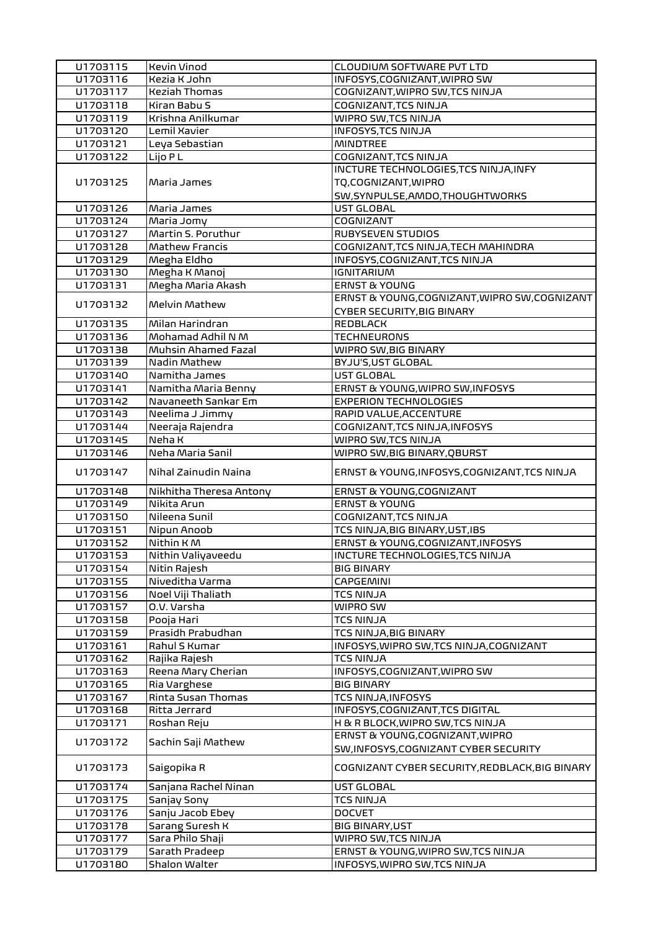| U1703115 | <b>Kevin Vinod</b>      | CLOUDIUM SOFTWARE PVT LTD                                                |
|----------|-------------------------|--------------------------------------------------------------------------|
| U1703116 | Kezia K John            | INFOSYS, COGNIZANT, WIPRO SW                                             |
| U1703117 | <b>Keziah Thomas</b>    | COGNIZANT, WIPRO SW, TCS NINJA                                           |
| U1703118 | Kiran Babu S            | COGNIZANT, TCS NINJA                                                     |
| U1703119 | Krishna Anilkumar       | WIPRO SW, TCS NINJA                                                      |
| U1703120 | Lemil Xavier            | <b>INFOSYS, TCS NINJA</b>                                                |
| U1703121 | Leya Sebastian          | <b>MINDTREE</b>                                                          |
| U1703122 | Lijo P L                | COGNIZANT, TCS NINJA                                                     |
|          |                         | INCTURE TECHNOLOGIES, TCS NINJA, INFY                                    |
| U1703125 | Maria James             | TQ,COGNIZANT, WIPRO                                                      |
|          |                         | SW, SYNPULSE, AMDO, THOUGHTWORKS                                         |
| U1703126 | Maria James             | UST GLOBAL                                                               |
| U1703124 | Maria Jomy              | COGNIZANT                                                                |
| U1703127 | Martin S. Poruthur      | <b>RUBYSEVEN STUDIOS</b>                                                 |
| U1703128 | Mathew Francis          | COGNIZANT, TCS NINJA, TECH MAHINDRA                                      |
| U1703129 | Megha Eldho             | INFOSYS, COGNIZANT, TCS NINJA                                            |
| U1703130 | Megha K Manoj           | <b>IGNITARIUM</b>                                                        |
| U1703131 | Megha Maria Akash       | <b>ERNST &amp; YOUNG</b>                                                 |
|          |                         | ERNST & YOUNG, COGNIZANT, WIPRO SW, COGNIZANT                            |
| U1703132 | Melvin Mathew           | <b>CYBER SECURITY, BIG BINARY</b>                                        |
| U1703135 | Milan Harindran         | REDBLACK                                                                 |
| U1703136 | Mohamad Adhil N M       | <b>TECHNEURONS</b>                                                       |
| U1703138 | Muhsin Ahamed Fazal     | WIPRO SW, BIG BINARY                                                     |
| U1703139 | Nadin Mathew            | BYJU'S, UST GLOBAL                                                       |
| U1703140 | Namitha James           | UST GLOBAL                                                               |
| U1703141 | Namitha Maria Benny     | ERNST & YOUNG, WIPRO SW, INFOSYS                                         |
| U1703142 | Navaneeth Sankar Em     | <b>EXPERION TECHNOLOGIES</b>                                             |
| U1703143 | Neelima J Jimmy         | RAPID VALUE, ACCENTURE                                                   |
| U1703144 | Neeraja Rajendra        | COGNIZANT, TCS NINJA, INFOSYS                                            |
| U1703145 | Neha K                  | WIPRO SW, TCS NINJA                                                      |
| U1703146 | Neha Maria Sanil        | WIPRO SW, BIG BINARY, QBURST                                             |
|          |                         |                                                                          |
|          |                         |                                                                          |
| U1703147 | Nihal Zainudin Naina    | ERNST & YOUNG, INFOSYS, COGNIZANT, TCS NINJA                             |
| U1703148 | Nikhitha Theresa Antony | ERNST & YOUNG, COGNIZANT                                                 |
| U1703149 | Nikita Arun             | <b>ERNST &amp; YOUNG</b>                                                 |
| U1703150 | Nileena Sunil           | COGNIZANT, TCS NINJA                                                     |
| U1703151 | Nipun Anoob             | TCS NINJA, BIG BINARY, UST, IBS                                          |
| U1703152 | Nithin K M              | ERNST & YOUNG, COGNIZANT, INFOSYS                                        |
| U1703153 | Nithin Valiyaveedu      | INCTURE TECHNOLOGIES, TCS NINJA                                          |
| U1703154 | Nitin Rajesh            | <b>BIG BINARY</b>                                                        |
| U1703155 | Niveditha Varma         | <b>CAPGEMINI</b>                                                         |
| U1703156 | Noel Viji Thaliath      | <b>TCS NINJA</b>                                                         |
| U1703157 | O.V. Varsha             | WIPRO SW                                                                 |
| U1703158 | Pooja Hari              | <b>TCS NINJA</b>                                                         |
| U1703159 | Prasidh Prabudhan       | TCS NINJA, BIG BINARY                                                    |
| U1703161 | Rahul S Kumar           | INFOSYS, WIPRO SW, TCS NINJA, COGNIZANT                                  |
| U1703162 | Rajika Rajesh           | <b>TCS NINJA</b>                                                         |
| U1703163 | Reena Mary Cherian      | INFOSYS, COGNIZANT, WIPRO SW                                             |
| U1703165 | Ria Varghese            | <b>BIG BINARY</b>                                                        |
| U1703167 | Rinta Susan Thomas      | TCS NINJA, INFOSYS                                                       |
| U1703168 | Ritta Jerrard           | INFOSYS, COGNIZANT, TCS DIGITAL                                          |
| U1703171 | Roshan Reju             | H & R BLOCK, WIPRO SW, TCS NINJA                                         |
| U1703172 | Sachin Saji Mathew      | ERNST & YOUNG, COGNIZANT, WIPRO<br>SW, INFOSYS, COGNIZANT CYBER SECURITY |
| U1703173 | Saigopika R             | COGNIZANT CYBER SECURITY, REDBLACK, BIG BINARY                           |
| U1703174 | Sanjana Rachel Ninan    | UST GLOBAL                                                               |
| U1703175 | Sanjay Sony             | TCS NINJA                                                                |
| U1703176 | Sanju Jacob Ebey        | <b>DOCVET</b>                                                            |
| U1703178 | Sarang Suresh K         | <b>BIG BINARY, UST</b>                                                   |
| U1703177 | Sara Philo Shaji        | WIPRO SW, TCS NINJA                                                      |
| U1703179 | Sarath Pradeep          | ERNST & YOUNG, WIPRO SW, TCS NINJA                                       |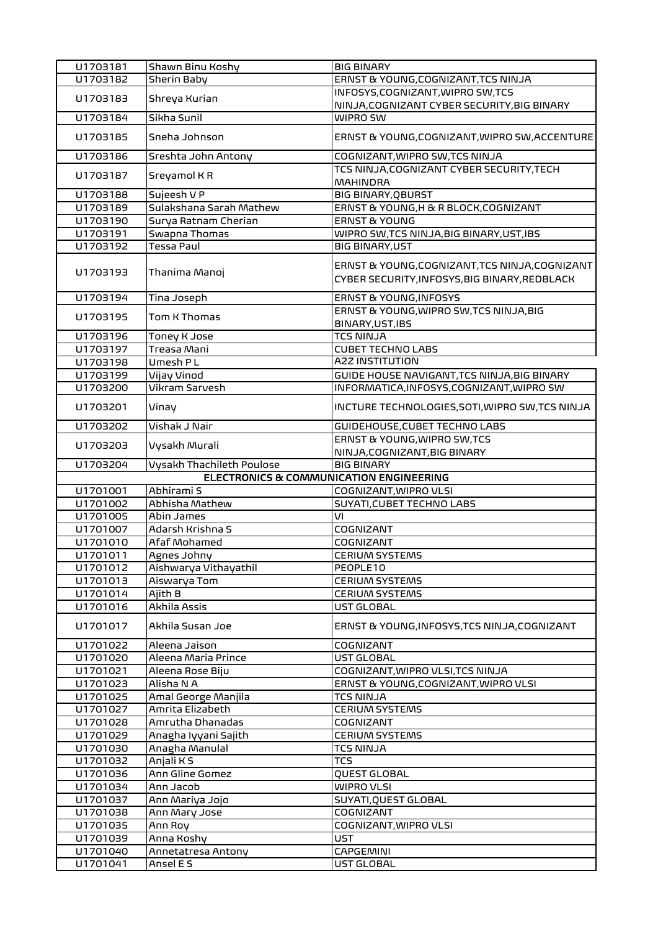| U1703181 | Shawn Binu Koshy                        | <b>BIG BINARY</b>                                                                               |
|----------|-----------------------------------------|-------------------------------------------------------------------------------------------------|
| U1703182 | Sherin Baby                             | ERNST & YOUNG, COGNIZANT, TCS NINJA                                                             |
|          |                                         | INFOSYS, COGNIZANT, WIPRO SW, TCS                                                               |
| U1703183 | Shreya Kurian                           | NINJA, COGNIZANT CYBER SECURITY, BIG BINARY                                                     |
| U1703184 | Sikha Sunil                             | WIPRO SW                                                                                        |
| U1703185 | Sneha Johnson                           | ERNST & YOUNG, COGNIZANT, WIPRO SW, ACCENTURE                                                   |
| U1703186 | Sreshta John Antony                     | COGNIZANT, WIPRO SW, TCS NINJA                                                                  |
| U1703187 | Sreyamol KR                             | TCS NINJA, COGNIZANT CYBER SECURITY, TECH<br><b>MAHINDRA</b>                                    |
| U1703188 | Sujeesh V P                             | <b>BIG BINARY, QBURST</b>                                                                       |
| U1703189 | Sulakshana Sarah Mathew                 | ERNST & YOUNG, H & R BLOCK, COGNIZANT                                                           |
| U1703190 | Surya Ratnam Cherian                    | <b>ERNST &amp; YOUNG</b>                                                                        |
| U1703191 | Swapna Thomas                           | WIPRO SW, TCS NINJA, BIG BINARY, UST, IBS                                                       |
| U1703192 | Tessa Paul                              | <b>BIG BINARY, UST</b>                                                                          |
| U1703193 | Thanima Manoj                           | ERNST & YOUNG, COGNIZANT, TCS NINJA, COGNIZANT<br>CYBER SECURITY, INFOSYS, BIG BINARY, REDBLACK |
| U1703194 | Tina Joseph                             | ERNST & YOUNG, INFOSYS                                                                          |
| U1703195 | Tom K Thomas                            | ERNST & YOUNG, WIPRO SW, TCS NINJA, BIG<br>BINARY, UST, IBS                                     |
| U1703196 | <b>Toney K Jose</b>                     | <b>TCS NINJA</b>                                                                                |
| U1703197 | Treasa Mani                             | <b>CUBET TECHNO LABS</b>                                                                        |
| U1703198 | Umesh PL                                | <b>A2Z INSTITUTION</b>                                                                          |
| U1703199 | Vijay Vinod                             | GUIDE HOUSE NAVIGANT, TCS NINJA, BIG BINARY                                                     |
| U1703200 | <b>Vikram Sarvesh</b>                   | INFORMATICA, INFOSYS, COGNIZANT, WIPRO SW                                                       |
| U1703201 | Vinay                                   | INCTURE TECHNOLOGIES, SOTI, WIPRO SW, TCS NINJA                                                 |
| U1703202 | Vishak J Nair                           | GUIDEHOUSE, CUBET TECHNO LABS                                                                   |
| U1703203 | Vysakh Murali                           | ERNST & YOUNG, WIPRO SW, TCS<br>NINJA, COGNIZANT, BIG BINARY                                    |
| U1703204 | Vysakh Thachileth Poulose               | <b>BIG BINARY</b>                                                                               |
|          | ELECTRONICS & COMMUNICATION ENGINEERING |                                                                                                 |
| U1701001 | Abhirami S                              | COGNIZANT, WIPRO VLSI                                                                           |
| U1701002 | Abhisha Mathew                          | SUYATI, CUBET TECHNO LABS                                                                       |
| U1701005 | Abin James                              | VI                                                                                              |
| U1701007 | Adarsh Krishna S                        | COGNIZANT                                                                                       |
| U1701010 | Afaf Mohamed                            | COGNIZANT                                                                                       |
| U1701011 | Agnes Johny                             | <b>CERIUM SYSTEMS</b>                                                                           |
| U1701012 | Aishwarya Vithayathil                   | PEOPLE10                                                                                        |
| U1701013 | Aiswarya Tom                            | <b>CERIUM SYSTEMS</b>                                                                           |
| U1701014 | Ajith B                                 | <b>CERIUM SYSTEMS</b>                                                                           |
| U1701016 | Akhila Assis                            | UST GLOBAL                                                                                      |
| U1701017 | Akhila Susan Joe                        | ERNST & YOUNG, INFOSYS, TCS NINJA, COGNIZANT                                                    |
| U1701022 | Aleena Jaison                           | COGNIZANT                                                                                       |
| U1701020 | Aleena Maria Prince                     | UST GLOBAL                                                                                      |
| U1701021 | Aleena Rose Biju                        | COGNIZANT, WIPRO VLSI, TCS NINJA                                                                |
| U1701023 | Alisha N A                              | ERNST & YOUNG, COGNIZANT, WIPRO VLSI                                                            |
| U1701025 | Amal George Manjila                     | <b>TCS NINJA</b>                                                                                |
| U1701027 | Amrita Elizabeth                        | <b>CERIUM SYSTEMS</b>                                                                           |
| U1701028 | Amrutha Dhanadas                        | COGNIZANT                                                                                       |
| U1701029 | Anagha Iyyani Sajith                    | <b>CERIUM SYSTEMS</b>                                                                           |
| U1701030 | Anagha Manulal                          | <b>TCS NINJA</b>                                                                                |
| U1701032 | Anjali K S                              | <b>TCS</b>                                                                                      |
| U1701036 | Ann Gline Gomez                         | QUEST GLOBAL                                                                                    |
| U1701034 | Ann Jacob                               | <b>WIPRO VLSI</b>                                                                               |
| U1701037 | Ann Mariya Jojo                         | SUYATI, QUEST GLOBAL                                                                            |
| U1701038 | Ann Mary Jose                           | COGNIZANT                                                                                       |
| U1701035 | Ann Roy                                 | COGNIZANT, WIPRO VLSI                                                                           |
| U1701039 | Anna Koshy                              | UST                                                                                             |
| U1701040 | Annetatresa Antony                      | CAPGEMINI                                                                                       |
| U1701041 | Ansel E S                               | UST GLOBAL                                                                                      |
|          |                                         |                                                                                                 |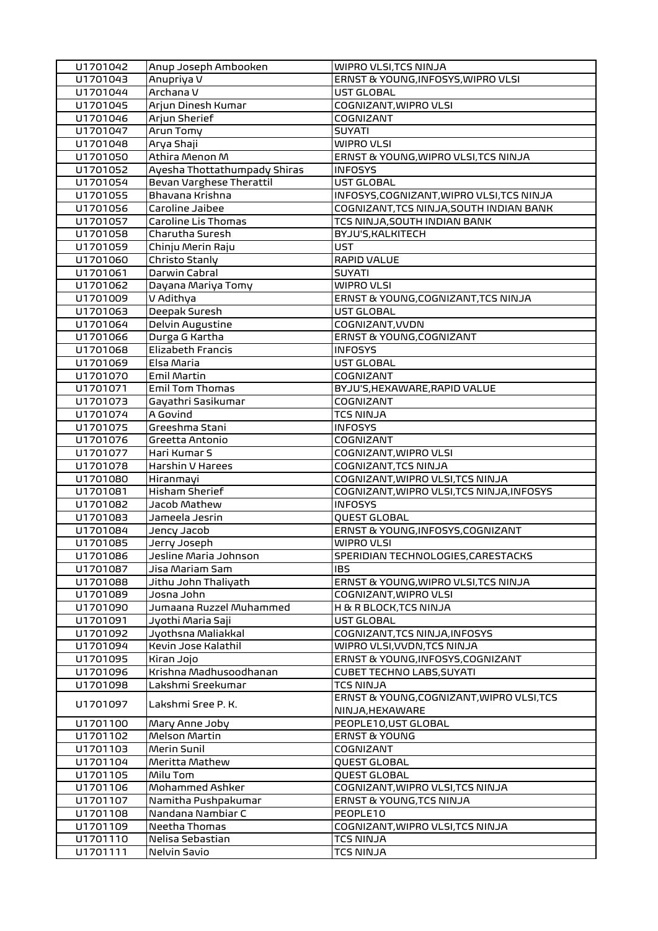| U1701042 | Anup Joseph Ambooken         | WIPRO VLSI, TCS NINJA                     |
|----------|------------------------------|-------------------------------------------|
| U1701043 | Anupriya V                   | ERNST & YOUNG, INFOSYS, WIPRO VLSI        |
| U1701044 | Archana V                    | UST GLOBAL                                |
| U1701045 | Arjun Dinesh Kumar           | COGNIZANT, WIPRO VLSI                     |
| U1701046 | Arjun Sherief                | COGNIZANT                                 |
| U1701047 | Arun Tomy                    | <b>SUYATI</b>                             |
| U1701048 | Arya Shaji                   | <b>WIPRO VLSI</b>                         |
| U1701050 | Athira Menon M               | ERNST & YOUNG, WIPRO VLSI, TCS NINJA      |
| U1701052 | Ayesha Thottathumpady Shiras | <b>INFOSYS</b>                            |
| U1701054 | Bevan Varghese Therattil     | UST GLOBAL                                |
| U1701055 | Bhavana Krishna              | INFOSYS, COGNIZANT, WIPRO VLSI, TCS NINJA |
| U1701056 | Caroline Jaibee              | COGNIZANT, TCS NINJA, SOUTH INDIAN BANK   |
| U1701057 | Caroline Lis Thomas          | TCS NINJA, SOUTH INDIAN BANK              |
| U1701058 | Charutha Suresh              | BYJU'S, KALKITECH                         |
| U1701059 | Chinju Merin Raju            | <b>UST</b>                                |
| U1701060 | Christo Stanly               | <b>RAPID VALUE</b>                        |
| U1701061 | Darwin Cabral                | <b>SUYATI</b>                             |
| U1701062 | Dayana Mariya Tomy           | <b>WIPRO VLSI</b>                         |
| U1701009 | V Adithya                    | ERNST & YOUNG, COGNIZANT, TCS NINJA       |
| U1701063 | Deepak Suresh                | UST GLOBAL                                |
| U1701064 | <b>Delvin Augustine</b>      | COGNIZANT, VVDN                           |
| U1701066 | Durga G Kartha               | ERNST & YOUNG, COGNIZANT                  |
| U1701068 | Elizabeth Francis            | <b>INFOSYS</b>                            |
| U1701069 | Elsa Maria                   | UST GLOBAL                                |
| U1701070 | Emil Martin                  | COGNIZANT                                 |
| U1701071 | Emil Tom Thomas              | BYJU'S, HEXAWARE, RAPID VALUE             |
| U1701073 | Gayathri Sasikumar           | COGNIZANT                                 |
| U1701074 | A Govind                     | <b>TCS NINJA</b>                          |
| U1701075 | Greeshma Stani               | <b>INFOSYS</b>                            |
| U1701076 | Greetta Antonio              | COGNIZANT                                 |
| U1701077 | Hari Kumar S                 | COGNIZANT, WIPRO VLSI                     |
| U1701078 | Harshin V Harees             | COGNIZANT, TCS NINJA                      |
| U1701080 | Hiranmayi                    | COGNIZANT, WIPRO VLSI, TCS NINJA          |
| U1701081 | <b>Hisham Sherief</b>        | COGNIZANT, WIPRO VLSI, TCS NINJA, INFOSYS |
| U1701082 | Jacob Mathew                 | <b>INFOSYS</b>                            |
| U1701083 | Jameela Jesrin               | QUEST GLOBAL                              |
| U1701084 | Jency Jacob                  | ERNST & YOUNG, INFOSYS, COGNIZANT         |
| U1701085 | Jerry Joseph                 | <b>WIPRO VLSI</b>                         |
| U1701086 | Jesline Maria Johnson        | SPERIDIAN TECHNOLOGIES, CARESTACKS        |
| U1701087 | Jisa Mariam Sam              | IBS.                                      |
| U1701088 | Jithu John Thaliyath         | ERNST & YOUNG, WIPRO VLSI, TCS NINJA      |
| U1701089 | Josna John                   | COGNIZANT, WIPRO VLSI                     |
| U1701090 | Jumaana Ruzzel Muhammed      | H & R BLOCK, TCS NINJA                    |
| U1701091 | Jyothi Maria Saji            | UST GLOBAL                                |
| U1701092 | Jyothsna Maliakkal           | COGNIZANT, TCS NINJA, INFOSYS             |
| U1701094 | Kevin Jose Kalathil          | WIPRO VLSI, VVDN, TCS NINJA               |
| U1701095 | Kiran Jojo                   | ERNST & YOUNG, INFOSYS, COGNIZANT         |
| U1701096 | Krishna Madhusoodhanan       | <b>CUBET TECHNO LABS, SUYATI</b>          |
| U1701098 | Lakshmi Sreekumar            | <b>TCS NINJA</b>                          |
| U1701097 |                              | ERNST & YOUNG, COGNIZANT, WIPRO VLSI, TCS |
|          | Lakshmi Sree P. K.           | NINJA, HEXAWARE                           |
| U1701100 | Mary Anne Joby               | PEOPLE10, UST GLOBAL                      |
| U1701102 | Melson Martin                | <b>ERNST &amp; YOUNG</b>                  |
| U1701103 | Merin Sunil                  | <b>COGNIZANT</b>                          |
| U1701104 | Meritta Mathew               | QUEST GLOBAL                              |
| U1701105 | Milu Tom                     | <b>QUEST GLOBAL</b>                       |
| U1701106 | Mohammed Ashker              | COGNIZANT, WIPRO VLSI, TCS NINJA          |
| U1701107 | Namitha Pushpakumar          | ERNST & YOUNG, TCS NINJA                  |
| U1701108 | Nandana Nambiar C            | PEOPLE10                                  |
| U1701109 | Neetha Thomas                | COGNIZANT, WIPRO VLSI, TCS NINJA          |
| U1701110 | Nelisa Sebastian             | <b>TCS NINJA</b>                          |
| U1701111 | Nelvin Savio                 | <b>TCS NINJA</b>                          |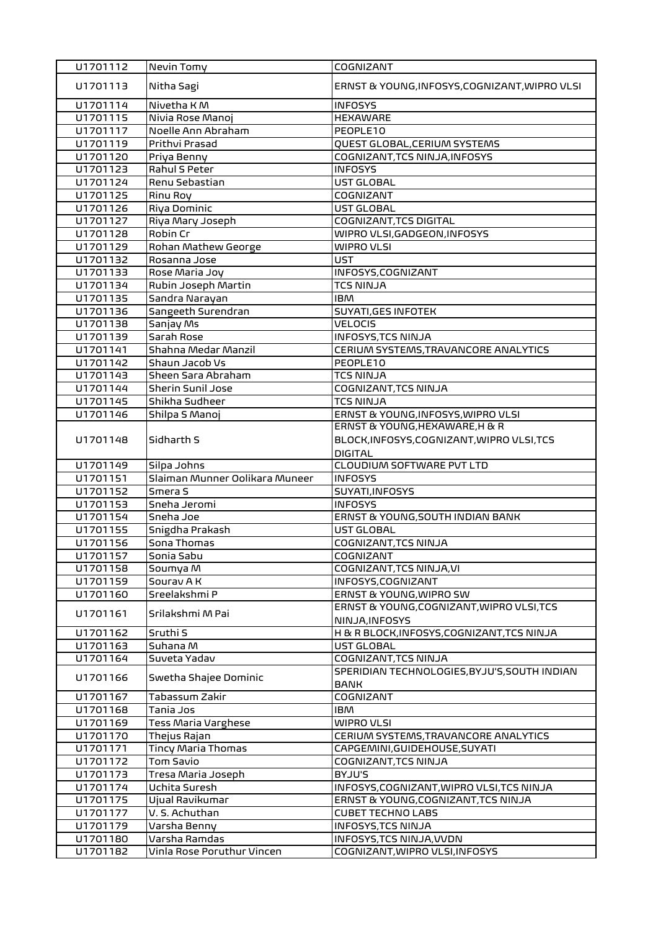| U1701112             | Nevin Tomy                                  | COGNIZANT                                                  |
|----------------------|---------------------------------------------|------------------------------------------------------------|
| U1701113             | Nitha Sagi                                  | ERNST & YOUNG, INFOSYS, COGNIZANT, WIPRO VLSI              |
| U1701114             | Nivetha KM                                  | <b>INFOSYS</b>                                             |
| U1701115             | Nivia Rose Manoj                            | <b>HEXAWARE</b>                                            |
| U1701117             | Noelle Ann Abraham                          | PEOPLE10                                                   |
| U1701119             | Prithvi Prasad                              | QUEST GLOBAL, CERIUM SYSTEMS                               |
| U1701120             | Priya Benny                                 | COGNIZANT, TCS NINJA, INFOSYS                              |
| U1701123             | Rahul S Peter                               | <b>INFOSYS</b>                                             |
| U1701124             | Renu Sebastian                              | UST GLOBAL                                                 |
| U1701125             | Rinu Roy                                    | COGNIZANT                                                  |
| U1701126             | Riya Dominic                                | UST GLOBAL                                                 |
| U1701127             | Riya Mary Joseph                            | COGNIZANT, TCS DIGITAL                                     |
| U1701128             | Robin Cr                                    | WIPRO VLSI, GADGEON, INFOSYS                               |
| U1701129             | Rohan Mathew George                         | <b>WIPRO VLSI</b>                                          |
| U1701132             | Rosanna Jose                                | <b>UST</b>                                                 |
| U1701133             | Rose Maria Joy                              | INFOSYS, COGNIZANT                                         |
| U1701134             | Rubin Joseph Martin                         | <b>TCS NINJA</b>                                           |
| U1701135             | Sandra Narayan                              | <b>IBM</b>                                                 |
| U1701136             | Sangeeth Surendran                          | <b>SUYATI, GES INFOTEK</b>                                 |
| U1701138             | Sanjay Ms                                   | <b>VELOCIS</b>                                             |
| U1701139             | Sarah Rose                                  | <b>INFOSYS, TCS NINJA</b>                                  |
| U1701141             | Shahna Medar Manzil                         | CERIUM SYSTEMS, TRAVANCORE ANALYTICS                       |
| U1701142             | Shaun Jacob Vs                              | PEOPLE10                                                   |
| U1701143             | Sheen Sara Abraham                          | <b>TCS NINJA</b>                                           |
| U1701144             | Sherin Sunil Jose                           | COGNIZANT, TCS NINJA                                       |
| U1701145             | Shikha Sudheer                              | <b>TCS NINJA</b>                                           |
| U1701146             | Shilpa S Manoj                              | ERNST & YOUNG, INFOSYS, WIPRO VLSI                         |
|                      |                                             | ERNST & YOUNG, HEXAWARE, H & R                             |
| U1701148             | Sidharth S                                  | BLOCK, INFOSYS, COGNIZANT, WIPRO VLSI, TCS                 |
|                      |                                             | <b>DIGITAL</b>                                             |
| U1701149             | Silpa Johns                                 | CLOUDIUM SOFTWARE PVT LTD                                  |
| U1701151             | Slaiman Munner Oolikara Muneer              | <b>INFOSYS</b>                                             |
| U1701152             | Smera S                                     | SUYATI, INFOSYS                                            |
|                      |                                             |                                                            |
| U1701153             | Sneha Jeromi                                | <b>INFOSYS</b>                                             |
| U1701154             | Sneha Joe                                   | ERNST & YOUNG, SOUTH INDIAN BANK                           |
| U1701155             | Snigdha Prakash                             | UST GLOBAL                                                 |
| U1701156             | Sona Thomas                                 | COGNIZANT, TCS NINJA                                       |
| U1701157             | Sonia Sabu                                  | COGNIZANT                                                  |
| U1701158             | Soumya M                                    | COGNIZANT, TCS NINJA, VI                                   |
| U1701159             | Sourav A K                                  | INFOSYS, COGNIZANT                                         |
| U1701160             | Sreelakshmi P                               | ERNST & YOUNG, WIPRO SW                                    |
|                      |                                             | ERNST & YOUNG, COGNIZANT, WIPRO VLSI, TCS                  |
| U1701161             | Srilakshmi M Pai                            | NINJA, INFOSYS                                             |
| U1701162             | Sruthi S                                    | H & R BLOCK, INFOSYS, COGNIZANT, TCS NINJA                 |
| U1701163             | Suhana M                                    | UST GLOBAL                                                 |
| U1701164             | Suveta Yadav                                | COGNIZANT, TCS NINJA                                       |
|                      |                                             | SPERIDIAN TECHNOLOGIES, BYJU'S, SOUTH INDIAN               |
| U1701166             | Swetha Shajee Dominic                       | <b>BANK</b>                                                |
| U1701167             | Tabassum Zakir                              | COGNIZANT                                                  |
| U1701168             | Tania Jos                                   | <b>IBM</b>                                                 |
| U1701169             | Tess Maria Varghese                         | WIPRO VLSI                                                 |
| U1701170             | Thejus Rajan                                | CERIUM SYSTEMS, TRAVANCORE ANALYTICS                       |
| U1701171             | <b>Tincy Maria Thomas</b>                   | CAPGEMINI, GUIDEHOUSE, SUYATI                              |
| U1701172             | Tom Savio                                   | COGNIZANT, TCS NINJA                                       |
| U1701173             | Tresa Maria Joseph                          | BYJU'S                                                     |
| U1701174             | Uchita Suresh                               | INFOSYS, COGNIZANT, WIPRO VLSI, TCS NINJA                  |
| U1701175             | Ujual Ravikumar                             | ERNST & YOUNG, COGNIZANT, TCS NINJA                        |
| U1701177             | V. S. Achuthan                              | <b>CUBET TECHNO LABS</b>                                   |
| U1701179             | Varsha Benny                                | INFOSYS, TCS NINJA                                         |
| U1701180<br>U1701182 | Varsha Ramdas<br>Vinla Rose Poruthur Vincen | INFOSYS, TCS NINJA, VVDN<br>COGNIZANT, WIPRO VLSI, INFOSYS |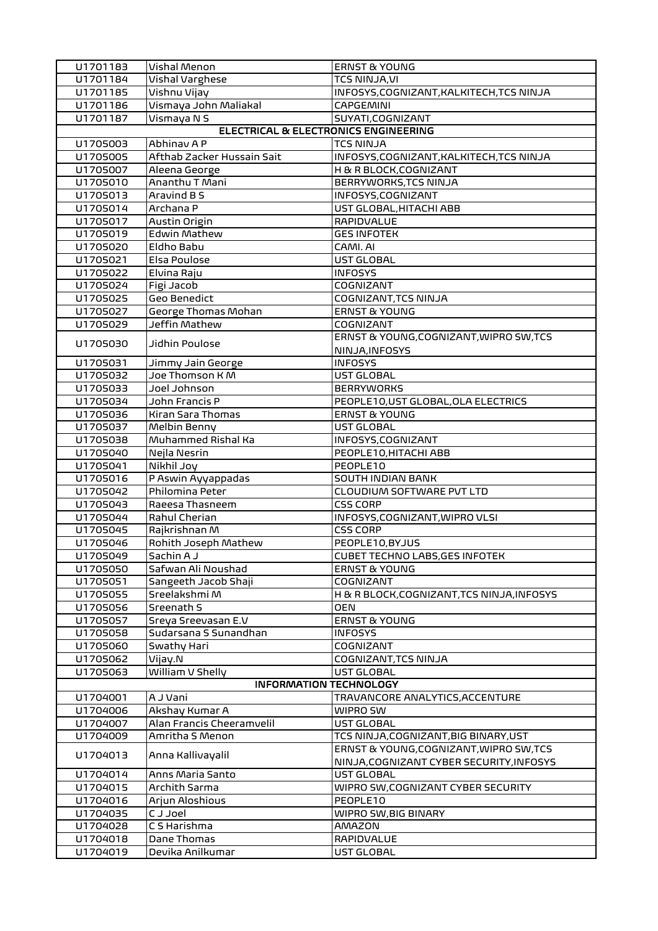| U1701183 | Vishal Menon                                    | <b>ERNST &amp; YOUNG</b>                                                            |  |  |  |
|----------|-------------------------------------------------|-------------------------------------------------------------------------------------|--|--|--|
| U1701184 | Vishal Varghese                                 | <b>TCS NINJA, VI</b>                                                                |  |  |  |
| U1701185 | Vishnu Vijay                                    | INFOSYS, COGNIZANT, KALKITECH, TCS NINJA                                            |  |  |  |
| U1701186 | Vismaya John Maliakal                           | <b>CAPGEMINI</b>                                                                    |  |  |  |
| U1701187 | Vismaya N S                                     | SUYATI,COGNIZANT                                                                    |  |  |  |
|          | <b>ELECTRICAL &amp; ELECTRONICS ENGINEERING</b> |                                                                                     |  |  |  |
| U1705003 | Abhinav A P                                     | <b>TCS NINJA</b>                                                                    |  |  |  |
| U1705005 | Afthab Zacker Hussain Sait                      | INFOSYS, COGNIZANT, KALKITECH, TCS NINJA                                            |  |  |  |
| U1705007 | Aleena George                                   | H & R BLOCK, COGNIZANT                                                              |  |  |  |
| U1705010 | Ananthu T Mani                                  | BERRYWORKS, TCS NINJA                                                               |  |  |  |
| U1705013 | Aravind B S                                     | INFOSYS, COGNIZANT                                                                  |  |  |  |
| U1705014 | Archana P                                       | UST GLOBAL, HITACHI ABB                                                             |  |  |  |
| U1705017 | Austin Origin                                   | <b>RAPIDVALUE</b>                                                                   |  |  |  |
| U1705019 | Edwin Mathew                                    | <b>GES INFOTEK</b>                                                                  |  |  |  |
| U1705020 | Eldho Babu                                      | CAMI. AI                                                                            |  |  |  |
| U1705021 | Elsa Poulose                                    | UST GLOBAL                                                                          |  |  |  |
| U1705022 | Elvina Raju                                     | <b>INFOSYS</b>                                                                      |  |  |  |
| U1705024 | Figi Jacob                                      | COGNIZANT                                                                           |  |  |  |
| U1705025 | <b>Geo Benedict</b>                             | COGNIZANT, TCS NINJA                                                                |  |  |  |
| U1705027 | George Thomas Mohan                             | <b>ERNST &amp; YOUNG</b>                                                            |  |  |  |
| U1705029 | Jeffin Mathew                                   | COGNIZANT                                                                           |  |  |  |
| U1705030 | Jidhin Poulose                                  | ERNST & YOUNG, COGNIZANT, WIPRO SW, TCS                                             |  |  |  |
|          |                                                 | NINJA, INFOSYS                                                                      |  |  |  |
| U1705031 | Jimmy Jain George                               | <b>INFOSYS</b>                                                                      |  |  |  |
| U1705032 | Joe Thomson K M                                 | UST GLOBAL                                                                          |  |  |  |
| U1705033 | Joel Johnson                                    | <b>BERRYWORKS</b>                                                                   |  |  |  |
| U1705034 | John Francis P                                  | PEOPLE10, UST GLOBAL, OLA ELECTRICS                                                 |  |  |  |
| U1705036 | Kiran Sara Thomas                               | <b>ERNST &amp; YOUNG</b>                                                            |  |  |  |
| U1705037 | Melbin Benny                                    | UST GLOBAL                                                                          |  |  |  |
| U1705038 | Muhammed Rishal Ka                              | INFOSYS, COGNIZANT                                                                  |  |  |  |
| U1705040 | Nejla Nesrin                                    | PEOPLE10, HITACHI ABB                                                               |  |  |  |
| U1705041 | Nikhil Joy                                      | PEOPLE10                                                                            |  |  |  |
| U1705016 | P Aswin Ayyappadas                              | <b>SOUTH INDIAN BANK</b>                                                            |  |  |  |
| U1705042 | Philomina Peter                                 | CLOUDIUM SOFTWARE PVT LTD                                                           |  |  |  |
| U1705043 | Raeesa Thasneem                                 | <b>CSS CORP</b>                                                                     |  |  |  |
| U1705044 | Rahul Cherian                                   | INFOSYS, COGNIZANT, WIPRO VLSI                                                      |  |  |  |
| U1705045 | Rajkrishnan M                                   | <b>CSS CORP</b>                                                                     |  |  |  |
| U1705046 | Rohith Joseph Mathew                            | PEOPLE10, BYJUS                                                                     |  |  |  |
| U1705049 | Sachin A J                                      | <b>CUBET TECHNO LABS, GES INFOTEK</b>                                               |  |  |  |
| U1705050 | Safwan Ali Noushad                              | <b>ERNST &amp; YOUNG</b>                                                            |  |  |  |
| U1705051 | Sangeeth Jacob Shaji                            | COGNIZANT                                                                           |  |  |  |
| U1705055 | Sreelakshmi M                                   | H & R BLOCK, COGNIZANT, TCS NINJA, INFOSYS                                          |  |  |  |
| U1705056 | Sreenath S                                      | <b>OEN</b>                                                                          |  |  |  |
| U1705057 | Sreya Sreevasan E.V                             | <b>ERNST &amp; YOUNG</b>                                                            |  |  |  |
| U1705058 | Sudarsana S Sunandhan                           | <b>INFOSYS</b>                                                                      |  |  |  |
| U1705060 | Swathy Hari                                     | <b>COGNIZANT</b>                                                                    |  |  |  |
| U1705062 | Vijay.N                                         | COGNIZANT, TCS NINJA                                                                |  |  |  |
| U1705063 | William V Shelly                                | UST GLOBAL                                                                          |  |  |  |
|          | <b>INFORMATION TECHNOLOGY</b>                   |                                                                                     |  |  |  |
| U1704001 | A J Vani                                        | TRAVANCORE ANALYTICS, ACCENTURE                                                     |  |  |  |
| U1704006 | Akshay Kumar A                                  | WIPRO SW                                                                            |  |  |  |
| U1704007 | Alan Francis Cheeramvelil                       | UST GLOBAL                                                                          |  |  |  |
| U1704009 | Amritha S Menon                                 | TCS NINJA, COGNIZANT, BIG BINARY, UST                                               |  |  |  |
| U1704013 | Anna Kallivayalil                               | ERNST & YOUNG, COGNIZANT, WIPRO SW, TCS<br>NINJA, COGNIZANT CYBER SECURITY, INFOSYS |  |  |  |
| U1704014 | Anns Maria Santo                                | UST GLOBAL                                                                          |  |  |  |
| U1704015 | Archith Sarma                                   | WIPRO SW, COGNIZANT CYBER SECURITY                                                  |  |  |  |
| U1704016 | Arjun Aloshious                                 | PEOPLE10                                                                            |  |  |  |
| U1704035 | <b>CJJoel</b>                                   | WIPRO SW, BIG BINARY                                                                |  |  |  |
| U1704028 | C S Harishma                                    | <b>AMAZON</b>                                                                       |  |  |  |
| U1704018 | Dane Thomas                                     | RAPIDVALUE                                                                          |  |  |  |
| U1704019 | Devika Anilkumar                                | UST GLOBAL                                                                          |  |  |  |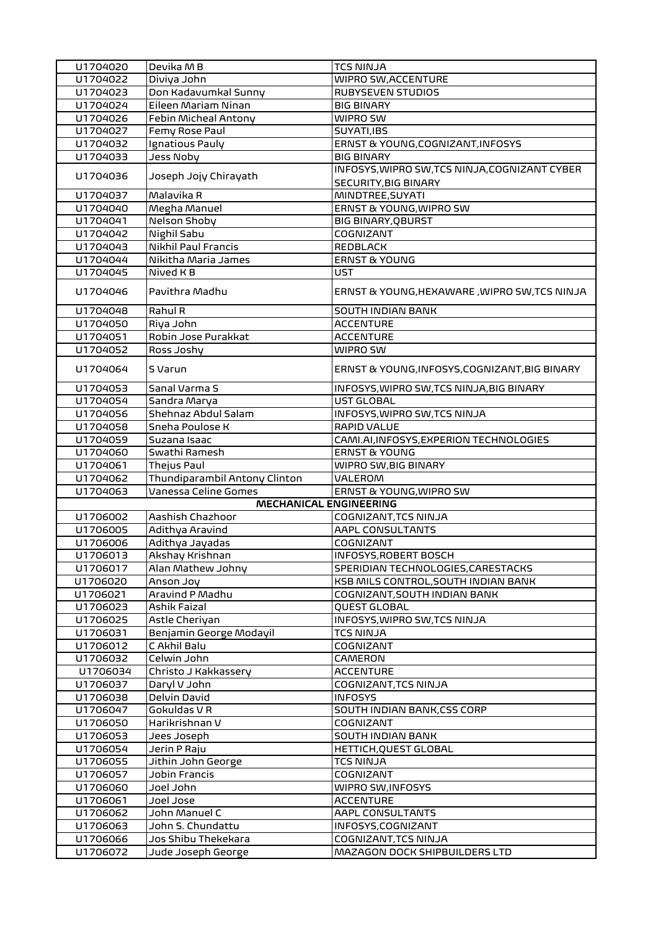| U1704020 | Devika MB                     | <b>TCS NINJA</b>                              |
|----------|-------------------------------|-----------------------------------------------|
| U1704022 | Diviya John                   | <b>WIPRO SW, ACCENTURE</b>                    |
| U1704023 | Don Kadavumkal Sunny          | RUBYSEVEN STUDIOS                             |
| U1704024 | Eileen Mariam Ninan           | <b>BIG BINARY</b>                             |
| U1704026 | Febin Micheal Antony          | WIPRO SW                                      |
| U1704027 | Femy Rose Paul                | SUYATI, IBS                                   |
| U1704032 | Ignatious Pauly               | ERNST & YOUNG, COGNIZANT, INFOSYS             |
| U1704033 | Jess Noby                     | <b>BIG BINARY</b>                             |
|          |                               | INFOSYS, WIPRO SW, TCS NINJA, COGNIZANT CYBER |
| U1704036 | Joseph Jojy Chirayath         | <b>SECURITY, BIG BINARY</b>                   |
|          | Malavika R                    |                                               |
| U1704037 |                               | MINDTREE, SUYATI                              |
| U1704040 | Megha Manuel                  | ERNST & YOUNG, WIPRO SW                       |
| U1704041 | Nelson Shoby                  | <b>BIG BINARY, QBURST</b>                     |
| U1704042 | Nighil Sabu                   | COGNIZANT                                     |
| U1704043 | Nikhil Paul Francis           | <b>REDBLACK</b>                               |
| U1704044 | Nikitha Maria James           | <b>ERNST &amp; YOUNG</b>                      |
| U1704045 | Nived K B                     | <b>UST</b>                                    |
| U1704046 | Pavithra Madhu                | ERNST & YOUNG, HEXAWARE, WIPRO SW, TCS NINJA  |
| U1704048 | Rahul R                       | <b>SOUTH INDIAN BANK</b>                      |
| U1704050 | Riya John                     | <b>ACCENTURE</b>                              |
| U1704051 | Robin Jose Purakkat           | <b>ACCENTURE</b>                              |
| U1704052 | Ross Joshy                    | WIPRO SW                                      |
| U1704064 | S Varun                       | ERNST & YOUNG, INFOSYS, COGNIZANT, BIG BINARY |
| U1704053 | Sanal Varma S                 | INFOSYS, WIPRO SW, TCS NINJA, BIG BINARY      |
| U1704054 | Sandra Marya                  | UST GLOBAL                                    |
| U1704056 | Shehnaz Abdul Salam           | INFOSYS, WIPRO SW, TCS NINJA                  |
| U1704058 | Sneha Poulose K               | <b>RAPID VALUE</b>                            |
| U1704059 | Suzana Isaac                  | CAMI.AI, INFOSYS, EXPERION TECHNOLOGIES       |
| U1704060 | Swathi Ramesh                 | <b>ERNST &amp; YOUNG</b>                      |
| U1704061 | Thejus Paul                   | WIPRO SW, BIG BINARY                          |
| U1704062 | Thundiparambil Antony Clinton | <b>VALEROM</b>                                |
| U1704063 | Vanessa Celine Gomes          | ERNST & YOUNG, WIPRO SW                       |
|          | <b>MECHANICAL ENGINEERING</b> |                                               |
| U1706002 | Aashish Chazhoor              | COGNIZANT, TCS NINJA                          |
| U1706005 | Adithya Aravind               | <b>AAPL CONSULTANTS</b>                       |
| U1706006 | Adithya Jayadas               | <b>COGNIZANT</b>                              |
|          | Akshay Krishnan               | INFOSYS, ROBERT BOSCH                         |
| U1706013 |                               |                                               |
| U1706017 | Alan Mathew Johny             | SPERIDIAN TECHNOLOGIES, CARESTACKS            |
| U1706020 | Anson Joy                     | KSB MILS CONTROL, SOUTH INDIAN BANK           |
| U1706021 | Aravind P Madhu               | COGNIZANT, SOUTH INDIAN BANK                  |
| U1706023 | Ashik Faizal                  | QUEST GLOBAL                                  |
| U1706025 | Astle Cheriyan                | INFOSYS, WIPRO SW, TCS NINJA                  |
| U1706031 | Benjamin George Modayil       | <b>TCS NINJA</b>                              |
| U1706012 | C Akhil Balu                  | COGNIZANT                                     |
| U1706032 | Celwin John                   | CAMERON                                       |
| U1706034 | Christo J Kakkassery          | <b>ACCENTURE</b>                              |
| U1706037 | Daryl V John                  | COGNIZANT, TCS NINJA                          |
| U1706038 | Delvin David                  | <b>INFOSYS</b>                                |
| U1706047 | Gokuldas V R                  | SOUTH INDIAN BANK,CSS CORP                    |
| U1706050 | Harikrishnan V                | COGNIZANT                                     |
| U1706053 | Jees Joseph                   | <b>SOUTH INDIAN BANK</b>                      |
| U1706054 | Jerin P Raju                  | HETTICH, QUEST GLOBAL                         |
| U1706055 | Jithin John George            | <b>TCS NINJA</b>                              |
| U1706057 | Jobin Francis                 | COGNIZANT                                     |
| U1706060 | Joel John                     | WIPRO SW, INFOSYS                             |
| U1706061 | Joel Jose                     | <b>ACCENTURE</b>                              |
| U1706062 | John Manuel C                 | AAPL CONSULTANTS                              |
| U1706063 | John S. Chundattu             | INFOSYS, COGNIZANT                            |
| U1706066 | Jos Shibu Thekekara           | COGNIZANT, TCS NINJA                          |
| U1706072 | Jude Joseph George            | MAZAGON DOCK SHIPBUILDERS LTD                 |
|          |                               |                                               |